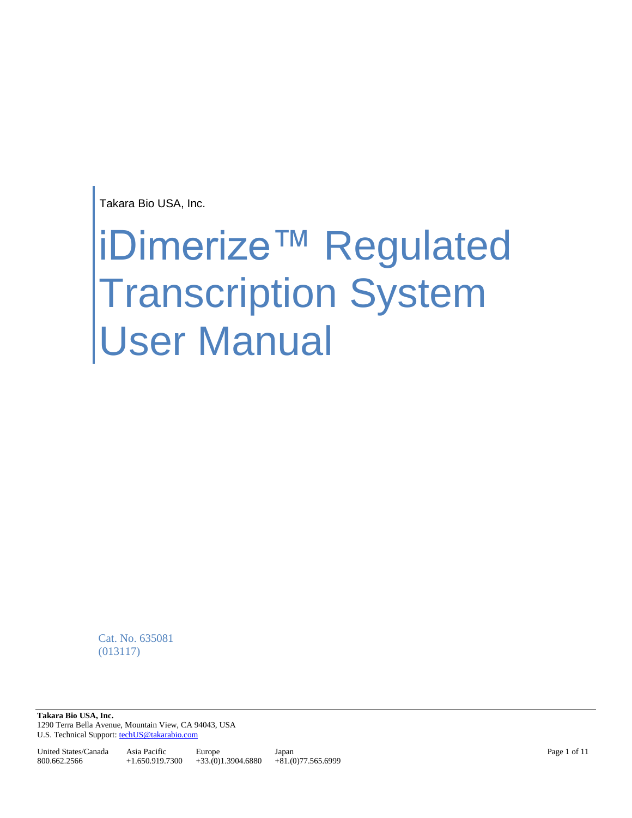Takara Bio USA, Inc.

# iDimerize™ Regulated Transcription System User Manual

Cat. No. 635081 (013117)

**Takara Bio USA, Inc.**  1290 Terra Bella Avenue, Mountain View, CA 94043, USA U.S. Technical Support[: techUS@takarabio.com](mailto:techUS@takarabio.com)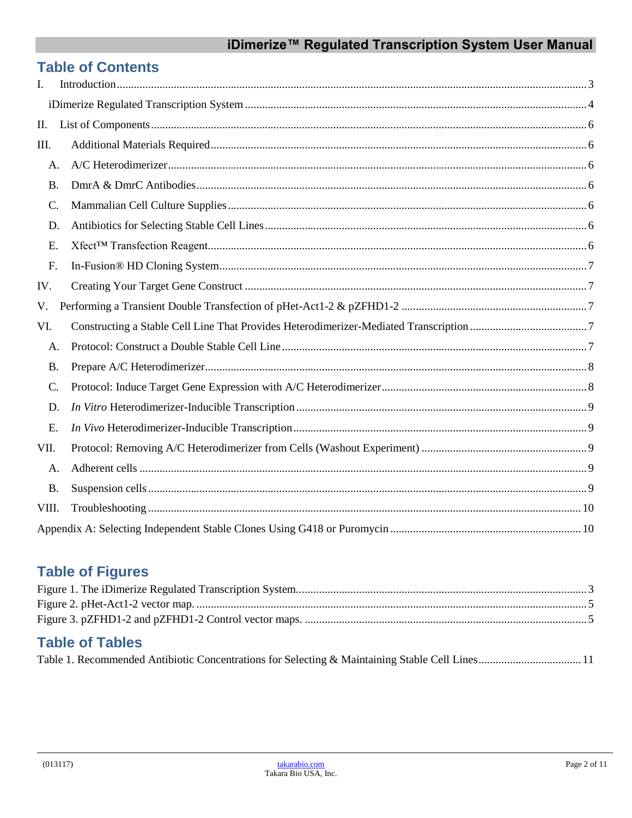# iDimerize™ Regulated Transcription System User Manual

# **Table of Contents**

| I.        |  |  |  |  |  |
|-----------|--|--|--|--|--|
|           |  |  |  |  |  |
| П.        |  |  |  |  |  |
| III.      |  |  |  |  |  |
| A.        |  |  |  |  |  |
| <b>B.</b> |  |  |  |  |  |
| C.        |  |  |  |  |  |
| D.        |  |  |  |  |  |
| E.        |  |  |  |  |  |
| F.        |  |  |  |  |  |
| IV.       |  |  |  |  |  |
| V.        |  |  |  |  |  |
| VI.       |  |  |  |  |  |
| A.        |  |  |  |  |  |
| <b>B.</b> |  |  |  |  |  |
| C.        |  |  |  |  |  |
| D.        |  |  |  |  |  |
| E.        |  |  |  |  |  |
| VII.      |  |  |  |  |  |
| A.        |  |  |  |  |  |
| <b>B.</b> |  |  |  |  |  |
| VIII.     |  |  |  |  |  |
|           |  |  |  |  |  |

# **Table of Figures**

| <b>Table of Tables</b> |  |
|------------------------|--|

Table 1. Recommended Antibiotic Concentrations for Selecting & Maintaining Stable Cell Lines.................................. 11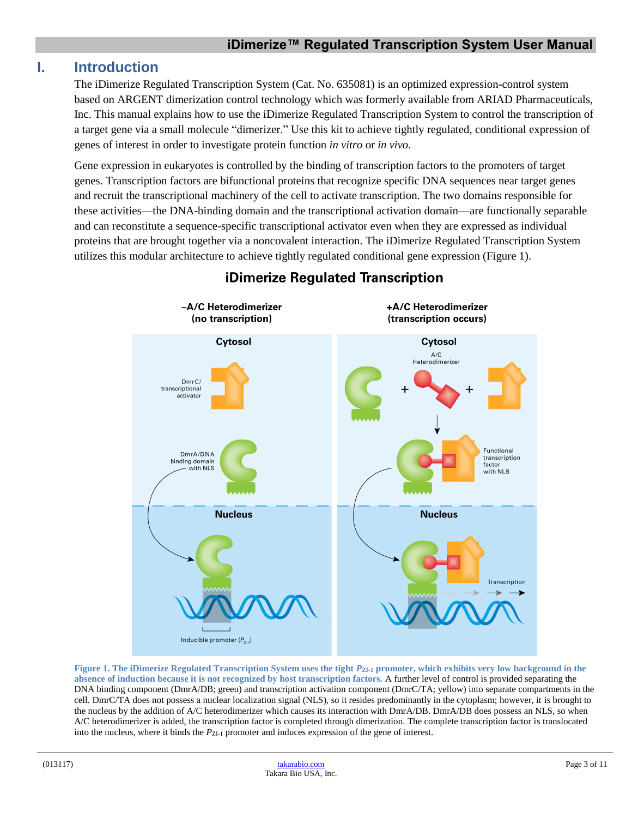# <span id="page-2-0"></span>**I. Introduction**

The iDimerize Regulated Transcription System (Cat. No. 635081) is an optimized expression-control system based on ARGENT dimerization control technology which was formerly available from ARIAD Pharmaceuticals, Inc. This manual explains how to use the iDimerize Regulated Transcription System to control the transcription of a target gene via a small molecule "dimerizer." Use this kit to achieve tightly regulated, conditional expression of genes of interest in order to investigate protein function *in vitro* or *in vivo*.

Gene expression in eukaryotes is controlled by the binding of transcription factors to the promoters of target genes. Transcription factors are bifunctional proteins that recognize specific DNA sequences near target genes and recruit the transcriptional machinery of the cell to activate transcription. The two domains responsible for these activities—the DNA-binding domain and the transcriptional activation domain—are functionally separable and can reconstitute a sequence-specific transcriptional activator even when they are expressed as individual proteins that are brought together via a noncovalent interaction. The iDimerize Regulated Transcription System utilizes this modular architecture to achieve tightly regulated conditional gene expression (Figure 1).



# **iDimerize Regulated Transcription**

<span id="page-2-1"></span>**Figure 1. The iDimerize Regulated Transcription System uses the tight**  $P_{ZL1}$  **promoter, which exhibits very low background in the absence of induction because it is not recognized by host transcription factors.** A further level of control is provided separating the DNA binding component (DmrA/DB; green) and transcription activation component (DmrC/TA; yellow) into separate compartments in the cell. DmrC/TA does not possess a nuclear localization signal (NLS), so it resides predominantly in the cytoplasm; however, it is brought to the nucleus by the addition of A/C heterodimerizer which causes its interaction with DmrA/DB. DmrA/DB does possess an NLS, so when A/C heterodimerizer is added, the transcription factor is completed through dimerization. The complete transcription factor is translocated into the nucleus, where it binds the  $P_{ZI-1}$  promoter and induces expression of the gene of interest.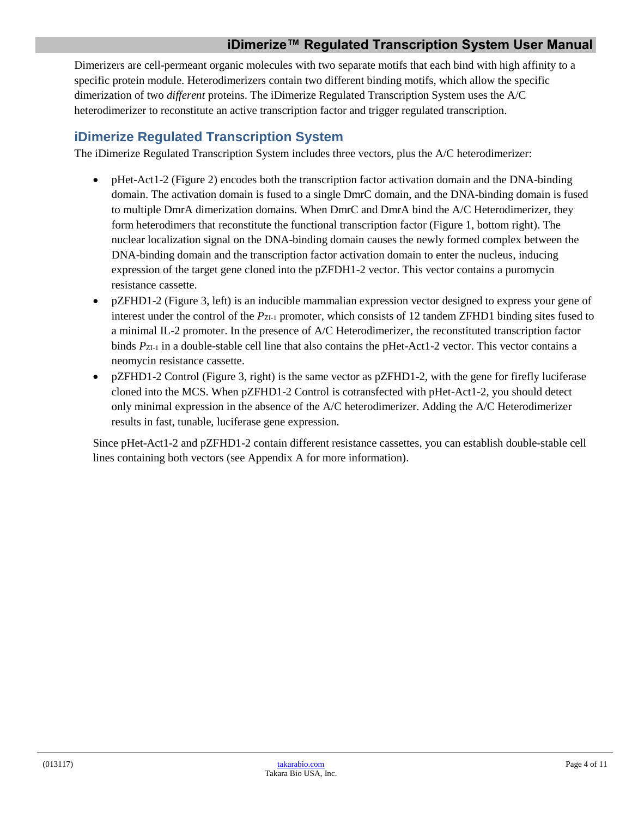# **iDimerize™ Regulated Transcription System User Manual**

Dimerizers are cell-permeant organic molecules with two separate motifs that each bind with high affinity to a specific protein module. Heterodimerizers contain two different binding motifs, which allow the specific dimerization of two *different* proteins. The iDimerize Regulated Transcription System uses the A/C heterodimerizer to reconstitute an active transcription factor and trigger regulated transcription.

## <span id="page-3-0"></span>**iDimerize Regulated Transcription System**

The iDimerize Regulated Transcription System includes three vectors, plus the A/C heterodimerizer:

- pHet-Act1-2 (Figure 2) encodes both the transcription factor activation domain and the DNA-binding domain. The activation domain is fused to a single DmrC domain, and the DNA-binding domain is fused to multiple DmrA dimerization domains. When DmrC and DmrA bind the A/C Heterodimerizer, they form heterodimers that reconstitute the functional transcription factor (Figure 1, bottom right). The nuclear localization signal on the DNA-binding domain causes the newly formed complex between the DNA-binding domain and the transcription factor activation domain to enter the nucleus, inducing expression of the target gene cloned into the pZFDH1-2 vector. This vector contains a puromycin resistance cassette.
- pZFHD1-2 (Figure 3, left) is an inducible mammalian expression vector designed to express your gene of interest under the control of the  $P_{Z_1}$  promoter, which consists of 12 tandem ZFHD1 binding sites fused to a minimal IL-2 promoter. In the presence of A/C Heterodimerizer, the reconstituted transcription factor binds  $P_{Z1-1}$  in a double-stable cell line that also contains the pHet-Act1-2 vector. This vector contains a neomycin resistance cassette.
- pZFHD1-2 Control (Figure 3, right) is the same vector as pZFHD1-2, with the gene for firefly luciferase cloned into the MCS. When pZFHD1-2 Control is cotransfected with pHet-Act1-2, you should detect only minimal expression in the absence of the A/C heterodimerizer. Adding the A/C Heterodimerizer results in fast, tunable, luciferase gene expression.

Since pHet-Act1-2 and pZFHD1-2 contain different resistance cassettes, you can establish double-stable cell lines containing both vectors (see Appendix A for more information).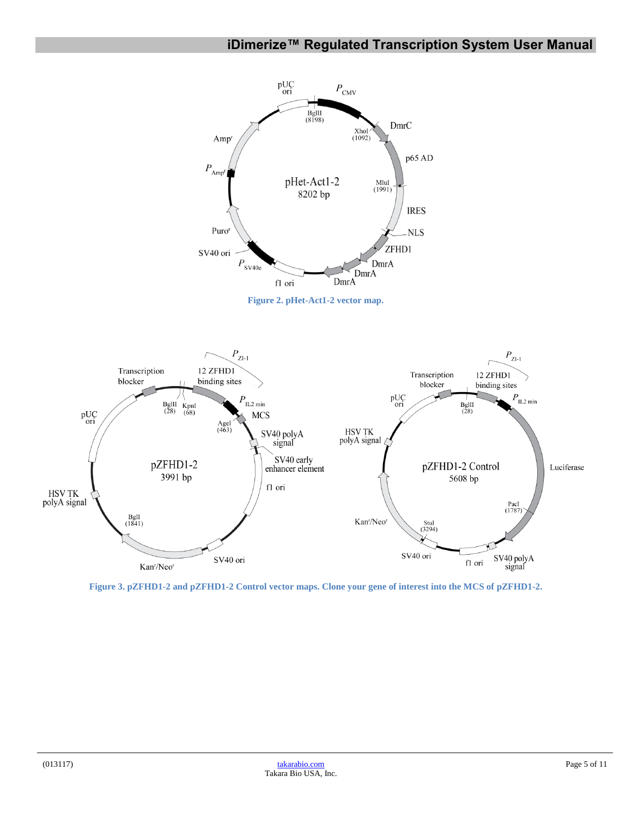# **iDimerize™ Regulated Transcription System User Manual**

<span id="page-4-0"></span>

<span id="page-4-1"></span>**Figure 3. pZFHD1-2 and pZFHD1-2 Control vector maps. Clone your gene of interest into the MCS of pZFHD1-2.**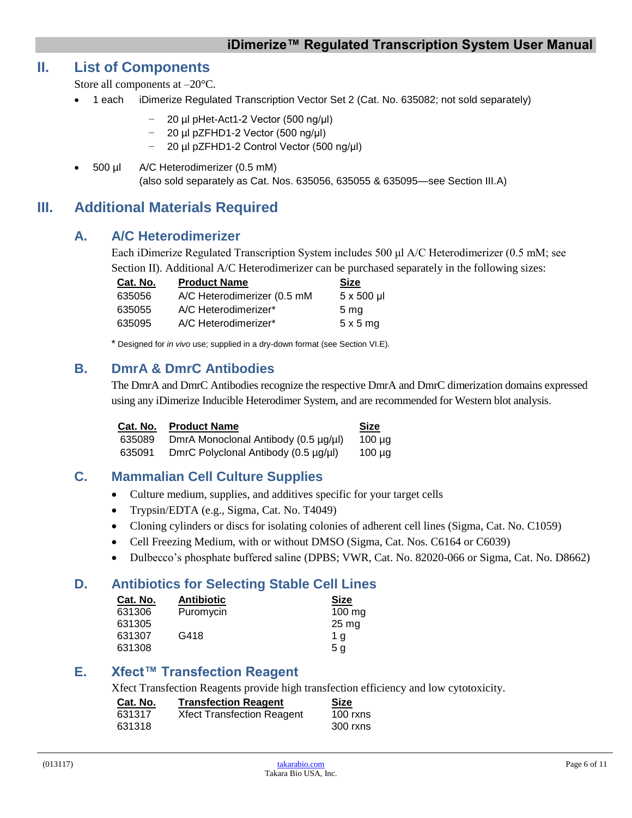# <span id="page-5-0"></span>**II. List of Components**

Store all components at –20°C.

- 1 each iDimerize Regulated Transcription Vector Set 2 (Cat. No. 635082; not sold separately)
	- − 20 µl pHet-Act1-2 Vector (500 ng/μl)
	- − 20 µl pZFHD1-2 Vector (500 ng/μl)
	- − 20 µl pZFHD1-2 Control Vector (500 ng/μl)
- 500 µl A/C Heterodimerizer (0.5 mM) (also sold separately as Cat. Nos. 635056, 635055 & 635095—see Section III.A)

# <span id="page-5-2"></span><span id="page-5-1"></span>**III. Additional Materials Required**

## **A. A/C Heterodimerizer**

Each iDimerize Regulated Transcription System includes 500 μl A/C Heterodimerizer (0.5 mM; see Section II). Additional A/C Heterodimerizer can be purchased separately in the following sizes:

| Cat. No. | <b>Product Name</b>         | <b>Size</b>      |
|----------|-----------------------------|------------------|
| 635056   | A/C Heterodimerizer (0.5 mM | $5 \times 500$ µ |
| 635055   | A/C Heterodimerizer*        | 5 <sub>mq</sub>  |
| 635095   | A/C Heterodimerizer*        | $5 \times 5$ mg  |

\* Designed for *in vivo* use; supplied in a dry-down format (see Section VI.E).

## <span id="page-5-3"></span>**B. DmrA & DmrC Antibodies**

The DmrA and DmrC Antibodies recognize the respective DmrA and DmrC dimerization domains expressed using any iDimerize Inducible Heterodimer System, and are recommended for Western blot analysis.

| Cat. No. | <b>Product Name</b>                  | Size        |
|----------|--------------------------------------|-------------|
| 635089   | DmrA Monoclonal Antibody (0.5 µg/µl) | $100 \mu$ g |
| 635091   | DmrC Polyclonal Antibody (0.5 µg/µl) | $100 \mu$ g |

## <span id="page-5-4"></span>**C. Mammalian Cell Culture Supplies**

- Culture medium, supplies, and additives specific for your target cells
- Trypsin/EDTA (e.g., Sigma, Cat. No. T4049)
- Cloning cylinders or discs for isolating colonies of adherent cell lines (Sigma, Cat. No. C1059)
- Cell Freezing Medium, with or without DMSO (Sigma, Cat. Nos. C6164 or C6039)
- Dulbecco's phosphate buffered saline (DPBS; VWR, Cat. No. 82020-066 or Sigma, Cat. No. D8662)

## <span id="page-5-5"></span>**D. Antibiotics for Selecting Stable Cell Lines**

| Cat. No. | <b>Antibiotic</b> | <b>Size</b>        |
|----------|-------------------|--------------------|
| 631306   | Puromycin         | $100 \text{ mg}$   |
| 631305   |                   | $25 \,\mathrm{mg}$ |
| 631307   | G418              | 1 a                |
| 631308   |                   | 5 a                |

## <span id="page-5-6"></span>**E. Xfect™ Transfection Reagent**

Xfect Transfection Reagents provide high transfection efficiency and low cytotoxicity.

| Cat. No. | <b>Transfection Reagent</b>       | Size       |
|----------|-----------------------------------|------------|
| 631317   | <b>Xfect Transfection Reagent</b> | $100$ rxns |
| 631318   |                                   | 300 rxns   |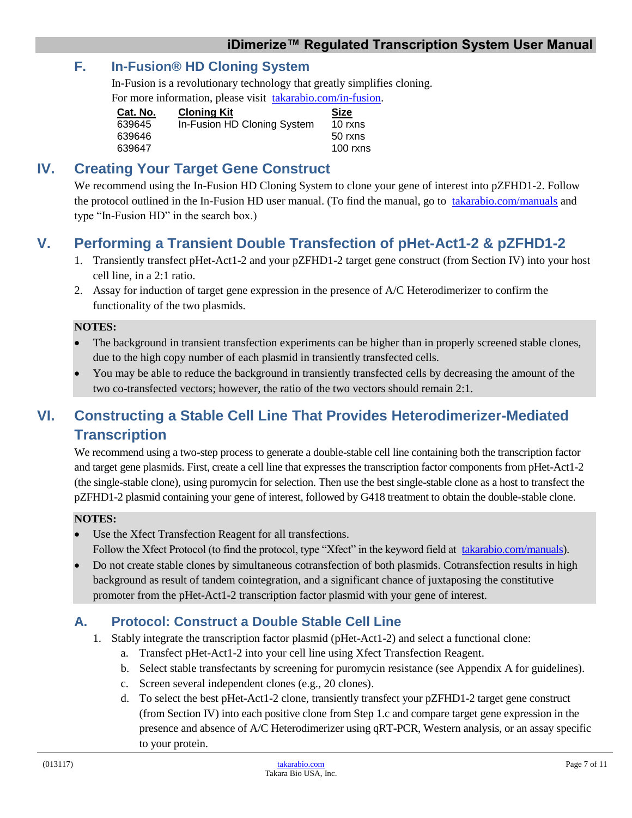# <span id="page-6-0"></span>**F. In-Fusion® HD Cloning System**

In-Fusion is a revolutionary technology that greatly simplifies cloning.

For more information, please visit [takarabio.com/in-fusion.](http://www.takarabio.com/in-fusion)

| Cat. No. | <b>Cloning Kit</b>          | <b>Size</b> |
|----------|-----------------------------|-------------|
| 639645   | In-Fusion HD Cloning System | 10 rxns     |
| 639646   |                             | 50 rxns     |
| 639647   |                             | $100$ rxns  |

# <span id="page-6-1"></span>**IV. Creating Your Target Gene Construct**

We recommend using the In-Fusion HD Cloning System to clone your gene of interest into pZFHD1-2. Follow the protocol outlined in the In-Fusion HD user manual. (To find the manual, go to [takarabio.com/manuals](http://www.takarabio.com/manuals) and type "In-Fusion HD" in the search box.)

# <span id="page-6-2"></span>**V. Performing a Transient Double Transfection of pHet-Act1-2 & pZFHD1-2**

- 1. Transiently transfect pHet-Act1-2 and your pZFHD1-2 target gene construct (from Section IV) into your host cell line, in a 2:1 ratio.
- 2. Assay for induction of target gene expression in the presence of A/C Heterodimerizer to confirm the functionality of the two plasmids.

### **NOTES:**

- The background in transient transfection experiments can be higher than in properly screened stable clones, due to the high copy number of each plasmid in transiently transfected cells.
- You may be able to reduce the background in transiently transfected cells by decreasing the amount of the two co-transfected vectors; however, the ratio of the two vectors should remain 2:1.

# <span id="page-6-3"></span>**VI. Constructing a Stable Cell Line That Provides Heterodimerizer-Mediated Transcription**

We recommend using a two-step process to generate a double-stable cell line containing both the transcription factor and target gene plasmids. First, create a cell line that expresses the transcription factor components from pHet-Act1-2 (the single-stable clone), using puromycin for selection. Then use the best single-stable clone as a host to transfect the pZFHD1-2 plasmid containing your gene of interest, followed by G418 treatment to obtain the double-stable clone.

## **NOTES:**

- Use the Xfect Transfection Reagent for all transfections. Follow the Xfect Protocol (to find the protocol, type "Xfect" in the keyword field at [takarabio.com/manuals\)](http://www.takarabio.com/manuals).
- Do not create stable clones by simultaneous cotransfection of both plasmids. Cotransfection results in high background as result of tandem cointegration, and a significant chance of juxtaposing the constitutive promoter from the pHet-Act1-2 transcription factor plasmid with your gene of interest.

# <span id="page-6-4"></span>**A. Protocol: Construct a Double Stable Cell Line**

- 1. Stably integrate the transcription factor plasmid (pHet-Act1-2) and select a functional clone:
	- a. Transfect pHet-Act1-2 into your cell line using Xfect Transfection Reagent.
	- b. Select stable transfectants by screening for puromycin resistance (see Appendix A for guidelines).
	- c. Screen several independent clones (e.g., 20 clones).
	- d. To select the best pHet-Act1-2 clone, transiently transfect your pZFHD1-2 target gene construct (from Section IV) into each positive clone from Step 1.c and compare target gene expression in the presence and absence of A/C Heterodimerizer using qRT-PCR, Western analysis, or an assay specific to your protein.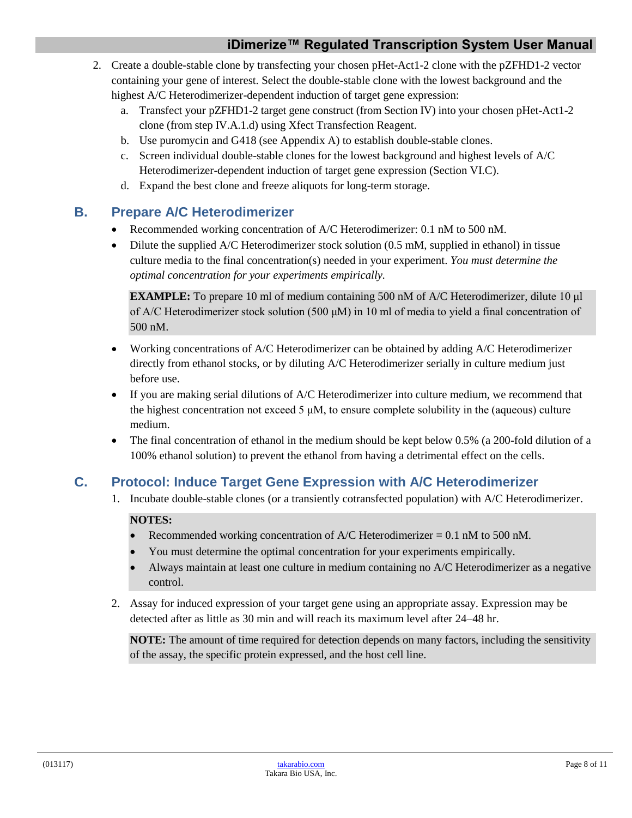- 2. Create a double-stable clone by transfecting your chosen pHet-Act1-2 clone with the pZFHD1-2 vector containing your gene of interest. Select the double-stable clone with the lowest background and the highest A/C Heterodimerizer-dependent induction of target gene expression:
	- a. Transfect your pZFHD1-2 target gene construct (from Section IV) into your chosen pHet-Act1-2 clone (from step IV.A.1.d) using Xfect Transfection Reagent.
	- b. Use puromycin and G418 (see Appendix A) to establish double-stable clones.
	- c. Screen individual double-stable clones for the lowest background and highest levels of A/C Heterodimerizer-dependent induction of target gene expression (Section VI.C).
	- d. Expand the best clone and freeze aliquots for long-term storage.

# <span id="page-7-0"></span>**B. Prepare A/C Heterodimerizer**

- Recommended working concentration of A/C Heterodimerizer: 0.1 nM to 500 nM.
- Dilute the supplied A/C Heterodimerizer stock solution (0.5 mM, supplied in ethanol) in tissue culture media to the final concentration(s) needed in your experiment. *You must determine the optimal concentration for your experiments empirically.*

**EXAMPLE:** To prepare 10 ml of medium containing 500 nM of A/C Heterodimerizer, dilute 10 μl of A/C Heterodimerizer stock solution (500 μM) in 10 ml of media to yield a final concentration of 500 nM.

- Working concentrations of A/C Heterodimerizer can be obtained by adding A/C Heterodimerizer directly from ethanol stocks, or by diluting A/C Heterodimerizer serially in culture medium just before use.
- If you are making serial dilutions of A/C Heterodimerizer into culture medium, we recommend that the highest concentration not exceed 5  $\mu$ M, to ensure complete solubility in the (aqueous) culture medium.
- The final concentration of ethanol in the medium should be kept below 0.5% (a 200-fold dilution of a 100% ethanol solution) to prevent the ethanol from having a detrimental effect on the cells.

# <span id="page-7-1"></span>**C. Protocol: Induce Target Gene Expression with A/C Heterodimerizer**

1. Incubate double-stable clones (or a transiently cotransfected population) with A/C Heterodimerizer.

## **NOTES:**

- Recommended working concentration of A/C Heterodimerizer =  $0.1 \text{ nM}$  to 500 nM.
- You must determine the optimal concentration for your experiments empirically.
- Always maintain at least one culture in medium containing no A/C Heterodimerizer as a negative control.
- 2. Assay for induced expression of your target gene using an appropriate assay. Expression may be detected after as little as 30 min and will reach its maximum level after 24–48 hr.

**NOTE:** The amount of time required for detection depends on many factors, including the sensitivity of the assay, the specific protein expressed, and the host cell line.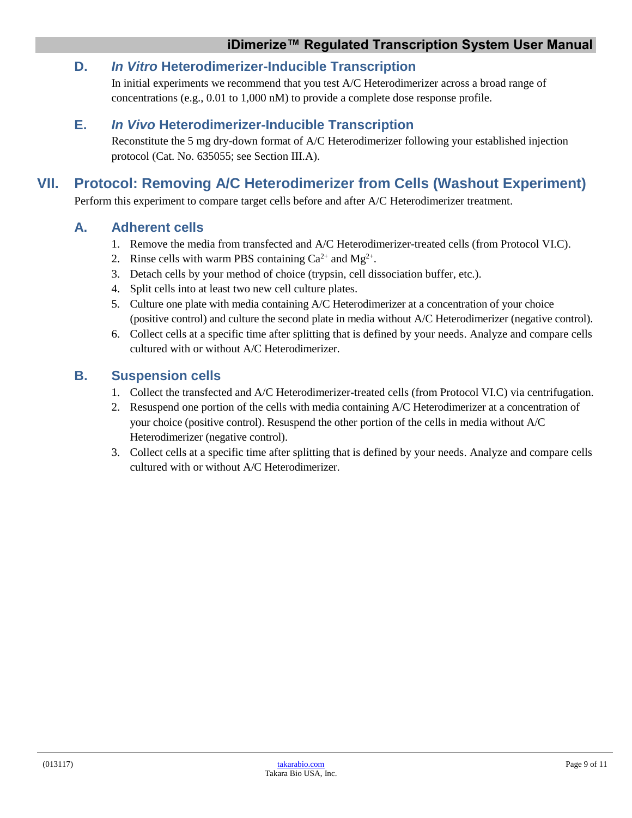# <span id="page-8-0"></span>**D.** *In Vitro* **Heterodimerizer-Inducible Transcription**

In initial experiments we recommend that you test A/C Heterodimerizer across a broad range of concentrations (e.g., 0.01 to 1,000 nM) to provide a complete dose response profile.

## <span id="page-8-1"></span>**E.** *In Vivo* **Heterodimerizer-Inducible Transcription**

Reconstitute the 5 mg dry-down format of A/C Heterodimerizer following your established injection protocol (Cat. No. 635055; see Section III.A).

# <span id="page-8-2"></span>**VII. Protocol: Removing A/C Heterodimerizer from Cells (Washout Experiment)**

Perform this experiment to compare target cells before and after A/C Heterodimerizer treatment.

## <span id="page-8-3"></span>**A. Adherent cells**

- 1. Remove the media from transfected and A/C Heterodimerizer-treated cells (from Protocol VI.C).
- 2. Rinse cells with warm PBS containing  $Ca^{2+}$  and  $Mg^{2+}$ .
- 3. Detach cells by your method of choice (trypsin, cell dissociation buffer, etc.).
- 4. Split cells into at least two new cell culture plates.
- 5. Culture one plate with media containing A/C Heterodimerizer at a concentration of your choice (positive control) and culture the second plate in media without A/C Heterodimerizer (negative control).
- 6. Collect cells at a specific time after splitting that is defined by your needs. Analyze and compare cells cultured with or without A/C Heterodimerizer.

## <span id="page-8-4"></span>**B. Suspension cells**

- 1. Collect the transfected and A/C Heterodimerizer-treated cells (from Protocol VI.C) via centrifugation.
- 2. Resuspend one portion of the cells with media containing A/C Heterodimerizer at a concentration of your choice (positive control). Resuspend the other portion of the cells in media without A/C Heterodimerizer (negative control).
- 3. Collect cells at a specific time after splitting that is defined by your needs. Analyze and compare cells cultured with or without A/C Heterodimerizer.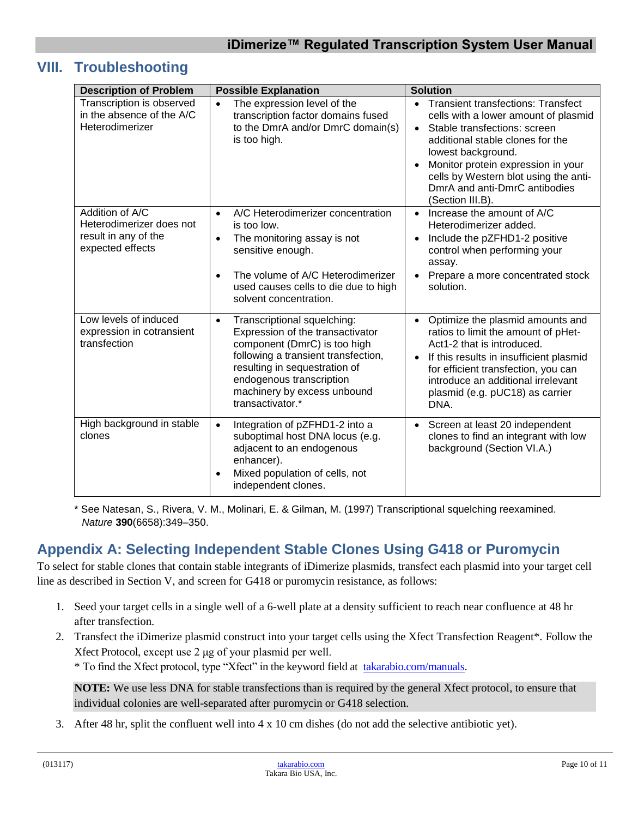# <span id="page-9-0"></span>**VIII. Troubleshooting**

| <b>Description of Problem</b>                                                           | <b>Possible Explanation</b>                                                                                                                                                                                                                                         | <b>Solution</b>                                                                                                                                                                                                                                                                                                                                        |
|-----------------------------------------------------------------------------------------|---------------------------------------------------------------------------------------------------------------------------------------------------------------------------------------------------------------------------------------------------------------------|--------------------------------------------------------------------------------------------------------------------------------------------------------------------------------------------------------------------------------------------------------------------------------------------------------------------------------------------------------|
| Transcription is observed<br>in the absence of the A/C<br>Heterodimerizer               | The expression level of the<br>$\bullet$<br>transcription factor domains fused<br>to the DmrA and/or DmrC domain(s)<br>is too high.                                                                                                                                 | <b>Transient transfections: Transfect</b><br>$\bullet$<br>cells with a lower amount of plasmid<br>Stable transfections: screen<br>$\bullet$<br>additional stable clones for the<br>lowest background.<br>Monitor protein expression in your<br>$\bullet$<br>cells by Western blot using the anti-<br>DmrA and anti-DmrC antibodies<br>(Section III.B). |
| Addition of A/C<br>Heterodimerizer does not<br>result in any of the<br>expected effects | A/C Heterodimerizer concentration<br>$\bullet$<br>is too low.<br>The monitoring assay is not<br>$\bullet$<br>sensitive enough.<br>The volume of A/C Heterodimerizer<br>$\bullet$<br>used causes cells to die due to high<br>solvent concentration.                  | Increase the amount of A/C<br>$\bullet$<br>Heterodimerizer added.<br>Include the pZFHD1-2 positive<br>$\bullet$<br>control when performing your<br>assay.<br>Prepare a more concentrated stock<br>$\bullet$<br>solution.                                                                                                                               |
| Low levels of induced<br>expression in cotransient<br>transfection                      | Transcriptional squelching:<br>$\bullet$<br>Expression of the transactivator<br>component (DmrC) is too high<br>following a transient transfection,<br>resulting in sequestration of<br>endogenous transcription<br>machinery by excess unbound<br>transactivator.* | Optimize the plasmid amounts and<br>$\bullet$<br>ratios to limit the amount of pHet-<br>Act1-2 that is introduced.<br>If this results in insufficient plasmid<br>$\bullet$<br>for efficient transfection, you can<br>introduce an additional irrelevant<br>plasmid (e.g. pUC18) as carrier<br>DNA.                                                     |
| High background in stable<br>clones                                                     | Integration of pZFHD1-2 into a<br>$\bullet$<br>suboptimal host DNA locus (e.g.<br>adjacent to an endogenous<br>enhancer).<br>Mixed population of cells, not<br>$\bullet$<br>independent clones.                                                                     | Screen at least 20 independent<br>$\bullet$<br>clones to find an integrant with low<br>background (Section VI.A.)                                                                                                                                                                                                                                      |

\* See Natesan, S., Rivera, V. M., Molinari, E. & Gilman, M. (1997) Transcriptional squelching reexamined. *Nature* **390**(6658):349–350.

# <span id="page-9-1"></span>**Appendix A: Selecting Independent Stable Clones Using G418 or Puromycin**

To select for stable clones that contain stable integrants of iDimerize plasmids, transfect each plasmid into your target cell line as described in Section V, and screen for G418 or puromycin resistance, as follows:

- 1. Seed your target cells in a single well of a 6-well plate at a density sufficient to reach near confluence at 48 hr after transfection.
- 2. Transfect the iDimerize plasmid construct into your target cells using the Xfect Transfection Reagent\*. Follow the Xfect Protocol, except use 2 μg of your plasmid per well.

\* To find the Xfect protocol, type "Xfect" in the keyword field at [takarabio.com/manuals.](http://www.takarabio.com/manuals)

**NOTE:** We use less DNA for stable transfections than is required by the general Xfect protocol, to ensure that individual colonies are well-separated after puromycin or G418 selection.

3. After 48 hr, split the confluent well into 4 x 10 cm dishes (do not add the selective antibiotic yet).